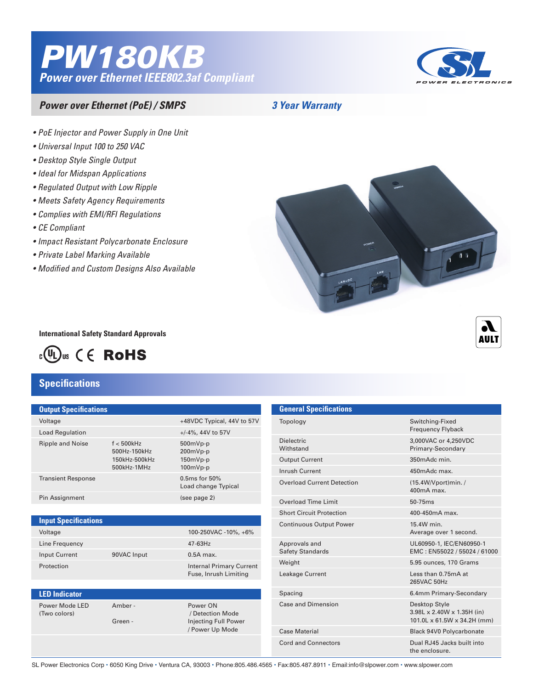# *PW180KB Power over Ethernet IEEE802.3af Compliant*



### *Power over Ethernet (PoE) / SMPS*

*3 Year Warranty*

- *• PoE Injector and Power Supply in One Unit*
- *• Universal Input 100 to 250 VAC*
- *• Desktop Style Single Output*
- *• Ideal for Midspan Applications*
- *• Regulated Output with Low Ripple*
- *• Meets Safety Agency Requirements*
- *• Complies with EMI/RFI Regulations*
- *• CE Compliant*
- *• Impact Resistant Polycarbonate Enclosure*
- *• Private Label Marking Available*
- *• Modified and Custom Designs Also Available*



**International Safety Standard Approvals**



## **Specifications**

**LED Indicator**

| <b>Output Specifications</b> |                                                               |                                                      |
|------------------------------|---------------------------------------------------------------|------------------------------------------------------|
| Voltage                      |                                                               | +48VDC Typical, 44V to 57V                           |
| <b>Load Regulation</b>       |                                                               | $+/-4\%$ , 44V to 57V                                |
| Ripple and Noise             | $f < 500$ kHz<br>500Hz-150kHz<br>150kHz-500kHz<br>500kHz-1MHz | $500mVp-p$<br>$200mVp-p$<br>$150mVp-p$<br>$100mVp-p$ |
| <b>Transient Response</b>    |                                                               | $0.5$ ms for $50%$<br>Load change Typical            |
| Pin Assignment               |                                                               | (see page 2)                                         |
|                              |                                                               |                                                      |

|                | <b>Input Specifications</b> |             |                                                          |  |  |
|----------------|-----------------------------|-------------|----------------------------------------------------------|--|--|
|                | Voltage                     |             | 100-250VAC -10%, +6%                                     |  |  |
| Line Frequency |                             |             | $47-63$ Hz                                               |  |  |
|                | <b>Input Current</b>        | 90VAC Input | $0.5A$ max.                                              |  |  |
|                | Protection                  |             | <b>Internal Primary Current</b><br>Fuse, Inrush Limiting |  |  |
|                |                             |             |                                                          |  |  |

#### Power Mode LED Amber - Power ON (Two colors) / Detection Mode Green - **Injecting Full Power**  / Power Up Mode

| <b>General Specifications</b>            |                                                                            |
|------------------------------------------|----------------------------------------------------------------------------|
| Topology                                 | Switching-Fixed<br><b>Frequency Flyback</b>                                |
| <b>Dielectric</b><br>Withstand           | 3,000VAC or 4,250VDC<br>Primary-Secondary                                  |
| <b>Output Current</b>                    | 350mAdc min.                                                               |
| Inrush Current                           | 450mAdc max.                                                               |
| Overload Current Detection               | (15.4W/Vport)min. /<br>$400mA$ max.                                        |
| <b>Overload Time Limit</b>               | 50-75ms                                                                    |
| <b>Short Circuit Protection</b>          | 400-450mA max.                                                             |
| <b>Continuous Output Power</b>           | 15.4W min.<br>Average over 1 second.                                       |
| Approvals and<br><b>Safety Standards</b> | UL60950-1, IEC/EN60950-1<br>EMC: EN55022 / 55024 / 61000                   |
| Weight                                   | 5.95 ounces, 170 Grams                                                     |
| Leakage Current                          | Less than 0.75mA at<br>265VAC 50Hz                                         |
| Spacing                                  | 6.4mm Primary-Secondary                                                    |
| Case and Dimension                       | Desktop Style<br>3.98L x 2.40W x 1.35H (in)<br>101.0L x 61.5W x 34.2H (mm) |
| Case Material                            | <b>Black 94V0 Polycarbonate</b>                                            |
| Cord and Connectors                      | Dual RJ45 Jacks built into<br>the enclosure.                               |

SL Power Electronics Corp • 6050 King Drive • Ventura CA, 93003 • Phone:805.486.4565 • Fax:805.487.8911 • Email:info@slpower.com • www.slpower.com